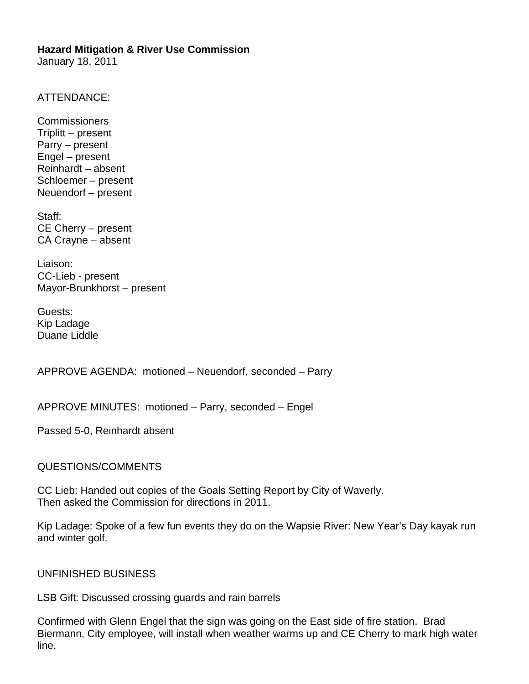January 18, 2011

ATTENDANCE:

Commissioners Triplitt – present Parry – present Engel – present Reinhardt – absent Schloemer – present Neuendorf – present

Staff: CE Cherry – present CA Crayne – absent

Liaison: CC-Lieb - present Mayor-Brunkhorst – present

Guests: Kip Ladage Duane Liddle

APPROVE AGENDA: motioned – Neuendorf, seconded – Parry

APPROVE MINUTES: motioned – Parry, seconded – Engel

Passed 5-0, Reinhardt absent

QUESTIONS/COMMENTS

CC Lieb: Handed out copies of the Goals Setting Report by City of Waverly. Then asked the Commission for directions in 2011.

Kip Ladage: Spoke of a few fun events they do on the Wapsie River: New Year's Day kayak run and winter golf.

UNFINISHED BUSINESS

LSB Gift: Discussed crossing guards and rain barrels

Confirmed with Glenn Engel that the sign was going on the East side of fire station. Brad Biermann, City employee, will install when weather warms up and CE Cherry to mark high water line.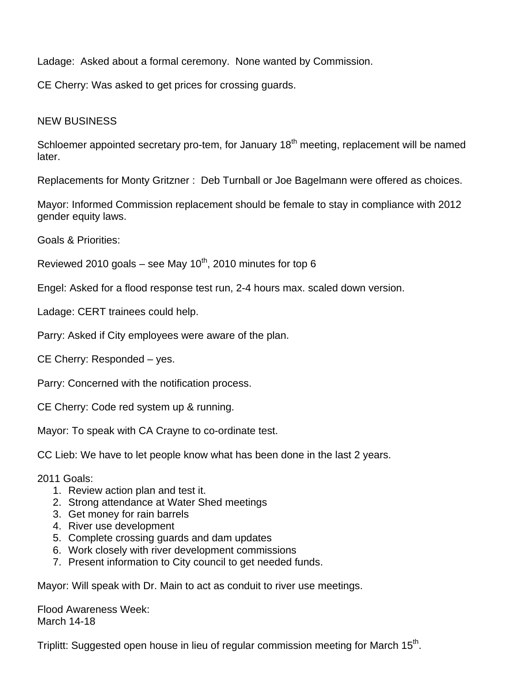Ladage: Asked about a formal ceremony. None wanted by Commission.

CE Cherry: Was asked to get prices for crossing guards.

## NEW BUSINESS

Schloemer appointed secretary pro-tem, for January 18<sup>th</sup> meeting, replacement will be named later.

Replacements for Monty Gritzner : Deb Turnball or Joe Bagelmann were offered as choices.

Mayor: Informed Commission replacement should be female to stay in compliance with 2012 gender equity laws.

Goals & Priorities:

Reviewed 2010 goals – see May  $10^{th}$ , 2010 minutes for top 6

Engel: Asked for a flood response test run, 2-4 hours max. scaled down version.

Ladage: CERT trainees could help.

Parry: Asked if City employees were aware of the plan.

CE Cherry: Responded – yes.

Parry: Concerned with the notification process.

CE Cherry: Code red system up & running.

Mayor: To speak with CA Crayne to co-ordinate test.

CC Lieb: We have to let people know what has been done in the last 2 years.

2011 Goals:

- 1. Review action plan and test it.
- 2. Strong attendance at Water Shed meetings
- 3. Get money for rain barrels
- 4. River use development
- 5. Complete crossing guards and dam updates
- 6. Work closely with river development commissions
- 7. Present information to City council to get needed funds.

Mayor: Will speak with Dr. Main to act as conduit to river use meetings.

Flood Awareness Week: March 14-18

Triplitt: Suggested open house in lieu of regular commission meeting for March 15<sup>th</sup>.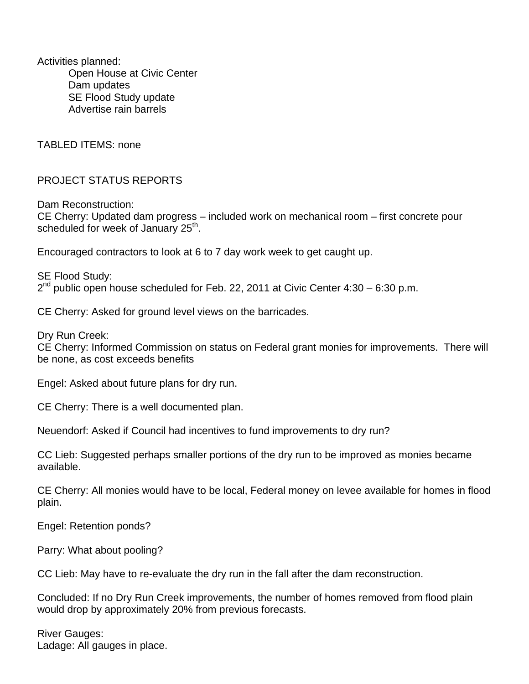Activities planned: Open House at Civic Center Dam updates SE Flood Study update Advertise rain barrels

TABLED ITEMS: none

PROJECT STATUS REPORTS

Dam Reconstruction: CE Cherry: Updated dam progress – included work on mechanical room – first concrete pour scheduled for week of January 25<sup>th</sup>.

Encouraged contractors to look at 6 to 7 day work week to get caught up.

SE Flood Study:  $2^{nd}$  public open house scheduled for Feb. 22, 2011 at Civic Center 4:30 – 6:30 p.m.

CE Cherry: Asked for ground level views on the barricades.

Dry Run Creek:

CE Cherry: Informed Commission on status on Federal grant monies for improvements. There will be none, as cost exceeds benefits

Engel: Asked about future plans for dry run.

CE Cherry: There is a well documented plan.

Neuendorf: Asked if Council had incentives to fund improvements to dry run?

CC Lieb: Suggested perhaps smaller portions of the dry run to be improved as monies became available.

CE Cherry: All monies would have to be local, Federal money on levee available for homes in flood plain.

Engel: Retention ponds?

Parry: What about pooling?

CC Lieb: May have to re-evaluate the dry run in the fall after the dam reconstruction.

Concluded: If no Dry Run Creek improvements, the number of homes removed from flood plain would drop by approximately 20% from previous forecasts.

River Gauges: Ladage: All gauges in place.